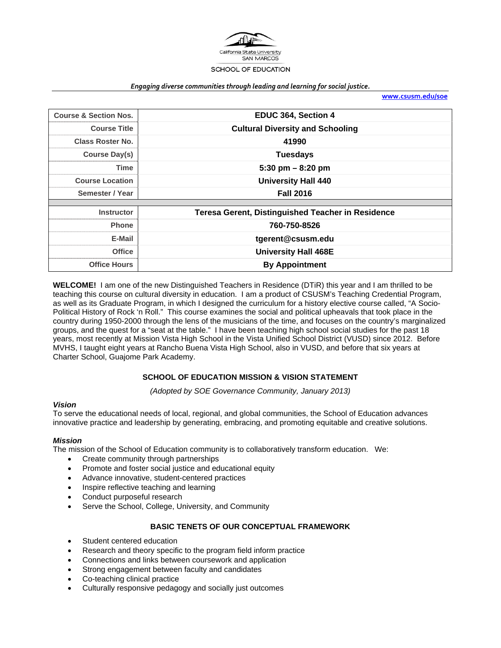

#### *Engaging diverse communities through leading and learning for social justice.*

**www.csusm.edu/soe**

| <b>Course &amp; Section Nos.</b> | EDUC 364, Section 4                                      |  |  |  |
|----------------------------------|----------------------------------------------------------|--|--|--|
| <b>Course Title</b>              | <b>Cultural Diversity and Schooling</b>                  |  |  |  |
| <b>Class Roster No.</b>          | 41990                                                    |  |  |  |
| Course Day(s)                    | <b>Tuesdays</b>                                          |  |  |  |
| <b>Time</b>                      | 5:30 pm $-$ 8:20 pm                                      |  |  |  |
| <b>Course Location</b>           | <b>University Hall 440</b>                               |  |  |  |
| Semester / Year                  | <b>Fall 2016</b>                                         |  |  |  |
|                                  |                                                          |  |  |  |
| <b>Instructor</b>                | <b>Teresa Gerent, Distinguished Teacher in Residence</b> |  |  |  |
| <b>Phone</b>                     | 760-750-8526                                             |  |  |  |
| E-Mail                           | tgerent@csusm.edu                                        |  |  |  |
| <b>Office</b>                    | <b>University Hall 468E</b>                              |  |  |  |
| <b>Office Hours</b>              | <b>By Appointment</b>                                    |  |  |  |

**WELCOME!** I am one of the new Distinguished Teachers in Residence (DTiR) this year and I am thrilled to be teaching this course on cultural diversity in education. I am a product of CSUSM's Teaching Credential Program, as well as its Graduate Program, in which I designed the curriculum for a history elective course called, "A Socio-Political History of Rock 'n Roll." This course examines the social and political upheavals that took place in the country during 1950-2000 through the lens of the musicians of the time, and focuses on the country's marginalized groups, and the quest for a "seat at the table." I have been teaching high school social studies for the past 18 years, most recently at Mission Vista High School in the Vista Unified School District (VUSD) since 2012. Before MVHS, I taught eight years at Rancho Buena Vista High School, also in VUSD, and before that six years at Charter School, Guajome Park Academy.

#### **SCHOOL OF EDUCATION MISSION & VISION STATEMENT**

*(Adopted by SOE Governance Community, January 2013)* 

#### *Vision*

To serve the educational needs of local, regional, and global communities, the School of Education advances innovative practice and leadership by generating, embracing, and promoting equitable and creative solutions.

#### *Mission*

The mission of the School of Education community is to collaboratively transform education. We:

- Create community through partnerships
- Promote and foster social justice and educational equity
- Advance innovative, student-centered practices
- Inspire reflective teaching and learning
- Conduct purposeful research
- Serve the School, College, University, and Community

#### **BASIC TENETS OF OUR CONCEPTUAL FRAMEWORK**

- Student centered education
- Research and theory specific to the program field inform practice
- Connections and links between coursework and application
- Strong engagement between faculty and candidates
- Co-teaching clinical practice
- Culturally responsive pedagogy and socially just outcomes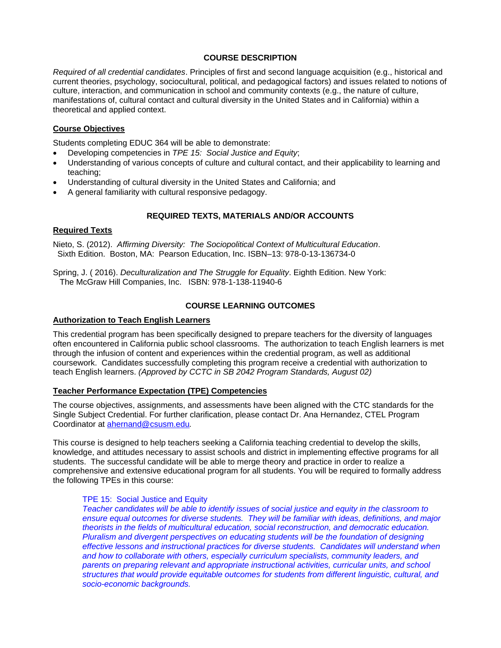## **COURSE DESCRIPTION**

*Required of all credential candidates*. Principles of first and second language acquisition (e.g., historical and current theories, psychology, sociocultural, political, and pedagogical factors) and issues related to notions of culture, interaction, and communication in school and community contexts (e.g., the nature of culture, manifestations of, cultural contact and cultural diversity in the United States and in California) within a theoretical and applied context.

## **Course Objectives**

Students completing EDUC 364 will be able to demonstrate:

- Developing competencies in *TPE 15: Social Justice and Equity*;
- Understanding of various concepts of culture and cultural contact, and their applicability to learning and teaching;
- Understanding of cultural diversity in the United States and California; and
- A general familiarity with cultural responsive pedagogy.

## **REQUIRED TEXTS, MATERIALS AND/OR ACCOUNTS**

## **Required Texts**

Nieto, S. (2012). *Affirming Diversity: The Sociopolitical Context of Multicultural Education*. Sixth Edition. Boston, MA: Pearson Education, Inc. ISBN–13: 978-0-13-136734-0

Spring, J. ( 2016). *Deculturalization and The Struggle for Equality*. Eighth Edition. New York: The McGraw Hill Companies, Inc. ISBN: 978-1-138-11940-6

## **COURSE LEARNING OUTCOMES**

#### **Authorization to Teach English Learners**

This credential program has been specifically designed to prepare teachers for the diversity of languages often encountered in California public school classrooms. The authorization to teach English learners is met through the infusion of content and experiences within the credential program, as well as additional coursework. Candidates successfully completing this program receive a credential with authorization to teach English learners. *(Approved by CCTC in SB 2042 Program Standards, August 02)*

#### **Teacher Performance Expectation (TPE) Competencies**

The course objectives, assignments, and assessments have been aligned with the CTC standards for the Single Subject Credential. For further clarification, please contact Dr. Ana Hernandez, CTEL Program Coordinator at ahernand@csusm.edu*.* 

This course is designed to help teachers seeking a California teaching credential to develop the skills, knowledge, and attitudes necessary to assist schools and district in implementing effective programs for all students. The successful candidate will be able to merge theory and practice in order to realize a comprehensive and extensive educational program for all students. You will be required to formally address the following TPEs in this course:

#### TPE 15: Social Justice and Equity

*Teacher candidates will be able to identify issues of social justice and equity in the classroom to ensure equal outcomes for diverse students. They will be familiar with ideas, definitions, and major theorists in the fields of multicultural education, social reconstruction, and democratic education. Pluralism and divergent perspectives on educating students will be the foundation of designing effective lessons and instructional practices for diverse students. Candidates will understand when and how to collaborate with others, especially curriculum specialists, community leaders, and parents on preparing relevant and appropriate instructional activities, curricular units, and school structures that would provide equitable outcomes for students from different linguistic, cultural, and socio-economic backgrounds.*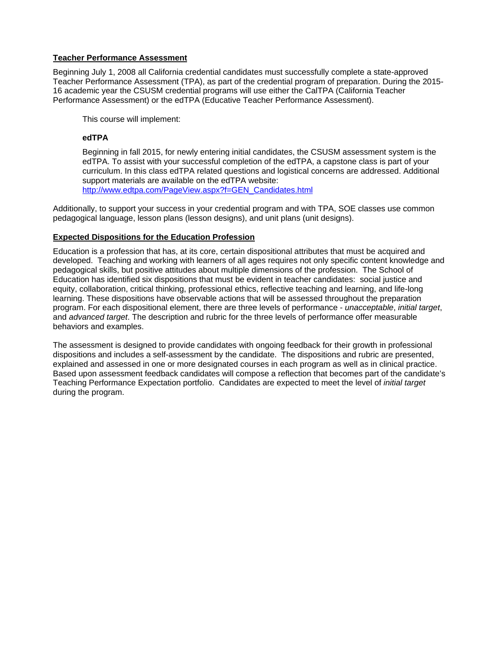## **Teacher Performance Assessment**

Beginning July 1, 2008 all California credential candidates must successfully complete a state-approved Teacher Performance Assessment (TPA), as part of the credential program of preparation. During the 2015- 16 academic year the CSUSM credential programs will use either the CalTPA (California Teacher Performance Assessment) or the edTPA (Educative Teacher Performance Assessment).

This course will implement:

## **edTPA**

Beginning in fall 2015, for newly entering initial candidates, the CSUSM assessment system is the edTPA. To assist with your successful completion of the edTPA, a capstone class is part of your curriculum. In this class edTPA related questions and logistical concerns are addressed. Additional support materials are available on the edTPA website: http://www.edtpa.com/PageView.aspx?f=GEN\_Candidates.html

Additionally, to support your success in your credential program and with TPA, SOE classes use common pedagogical language, lesson plans (lesson designs), and unit plans (unit designs).

## **Expected Dispositions for the Education Profession**

Education is a profession that has, at its core, certain dispositional attributes that must be acquired and developed. Teaching and working with learners of all ages requires not only specific content knowledge and pedagogical skills, but positive attitudes about multiple dimensions of the profession. The School of Education has identified six dispositions that must be evident in teacher candidates: social justice and equity, collaboration, critical thinking, professional ethics, reflective teaching and learning, and life-long learning. These dispositions have observable actions that will be assessed throughout the preparation program. For each dispositional element, there are three levels of performance - *unacceptable*, *initial target*, and *advanced target*. The description and rubric for the three levels of performance offer measurable behaviors and examples.

The assessment is designed to provide candidates with ongoing feedback for their growth in professional dispositions and includes a self-assessment by the candidate. The dispositions and rubric are presented, explained and assessed in one or more designated courses in each program as well as in clinical practice. Based upon assessment feedback candidates will compose a reflection that becomes part of the candidate's Teaching Performance Expectation portfolio. Candidates are expected to meet the level of *initial target* during the program.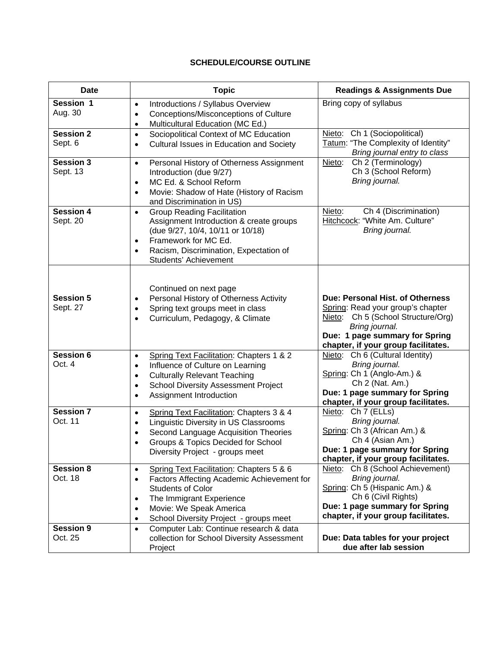# **SCHEDULE/COURSE OUTLINE**

| <b>Date</b>                  | <b>Topic</b>                                                                                                                                                                                                                                                                 | <b>Readings &amp; Assignments Due</b>                                                                                                                                                                     |  |
|------------------------------|------------------------------------------------------------------------------------------------------------------------------------------------------------------------------------------------------------------------------------------------------------------------------|-----------------------------------------------------------------------------------------------------------------------------------------------------------------------------------------------------------|--|
| Session 1<br>Aug. 30         | Introductions / Syllabus Overview<br>$\bullet$<br>Conceptions/Misconceptions of Culture<br>$\bullet$<br>Multicultural Education (MC Ed.)<br>$\bullet$                                                                                                                        | Bring copy of syllabus                                                                                                                                                                                    |  |
| <b>Session 2</b><br>Sept. 6  | Sociopolitical Context of MC Education<br>$\bullet$<br>Cultural Issues in Education and Society<br>$\bullet$                                                                                                                                                                 | Ch 1 (Sociopolitical)<br>Nieto:<br>Tatum: "The Complexity of Identity"<br>Bring journal entry to class                                                                                                    |  |
| <b>Session 3</b><br>Sept. 13 | Personal History of Otherness Assignment<br>$\bullet$<br>Introduction (due 9/27)<br>MC Ed. & School Reform<br>$\bullet$<br>Movie: Shadow of Hate (History of Racism<br>$\bullet$<br>and Discrimination in US)                                                                | Ch 2 (Terminology)<br>Nieto:<br>Ch 3 (School Reform)<br>Bring journal.                                                                                                                                    |  |
| <b>Session 4</b><br>Sept. 20 | <b>Group Reading Facilitation</b><br>$\bullet$<br>Assignment Introduction & create groups<br>(due 9/27, 10/4, 10/11 or 10/18)<br>Framework for MC Ed.<br>$\bullet$<br>Racism, Discrimination, Expectation of<br>$\bullet$<br>Students' Achievement                           | Nieto:<br>Ch 4 (Discrimination)<br>Hitchcock: "White Am. Culture"<br>Bring journal.                                                                                                                       |  |
| <b>Session 5</b><br>Sept. 27 | Continued on next page<br>Personal History of Otherness Activity<br>$\bullet$<br>Spring text groups meet in class<br>$\bullet$<br>Curriculum, Pedagogy, & Climate<br>$\bullet$                                                                                               | Due: Personal Hist. of Otherness<br>Spring: Read your group's chapter<br>Ch 5 (School Structure/Org)<br>Nieto:<br>Bring journal.<br>Due: 1 page summary for Spring<br>chapter, if your group facilitates. |  |
| <b>Session 6</b><br>Oct. 4   | Spring Text Facilitation: Chapters 1 & 2<br>$\bullet$<br>Influence of Culture on Learning<br>$\bullet$<br><b>Culturally Relevant Teaching</b><br>$\bullet$<br><b>School Diversity Assessment Project</b><br>$\bullet$<br>Assignment Introduction<br>$\bullet$                | Nieto: Ch 6 (Cultural Identity)<br>Bring journal.<br>Spring: Ch 1 (Anglo-Am.) &<br>Ch 2 (Nat. Am.)<br>Due: 1 page summary for Spring<br>chapter, if your group facilitates.                               |  |
| <b>Session 7</b><br>Oct. 11  | Spring Text Facilitation: Chapters 3 & 4<br>$\bullet$<br>Linguistic Diversity in US Classrooms<br>$\bullet$<br>Second Language Acquisition Theories<br>$\bullet$<br>Groups & Topics Decided for School<br>$\bullet$<br>Diversity Project - groups meet                       | Nieto: Ch 7 (ELLs)<br>Bring journal.<br>Spring: Ch 3 (African Am.) &<br>Ch 4 (Asian Am.)<br>Due: 1 page summary for Spring<br>chapter, if your group facilitates.                                         |  |
| <b>Session 8</b><br>Oct. 18  | Spring Text Facilitation: Chapters 5 & 6<br>$\bullet$<br>Factors Affecting Academic Achievement for<br>$\bullet$<br><b>Students of Color</b><br>The Immigrant Experience<br>٠<br>Movie: We Speak America<br>$\bullet$<br>School Diversity Project - groups meet<br>$\bullet$ | Nieto: Ch 8 (School Achievement)<br>Bring journal.<br>Spring: Ch 5 (Hispanic Am.) &<br>Ch 6 (Civil Rights)<br>Due: 1 page summary for Spring<br>chapter, if your group facilitates.                       |  |
| <b>Session 9</b><br>Oct. 25  | Computer Lab: Continue research & data<br>$\bullet$<br>collection for School Diversity Assessment<br>Project                                                                                                                                                                 | Due: Data tables for your project<br>due after lab session                                                                                                                                                |  |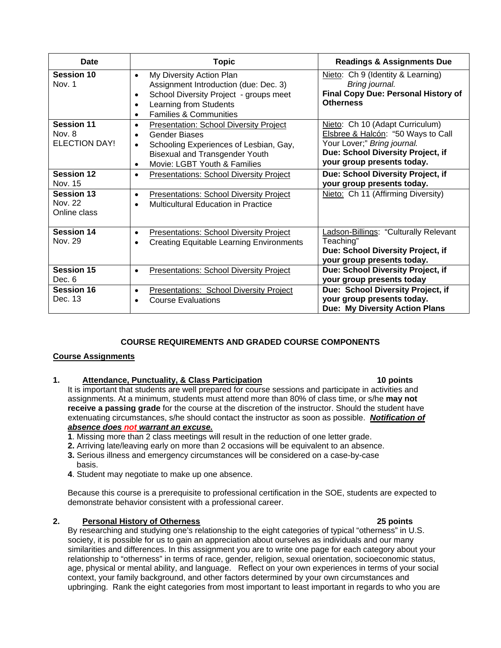| Date                                                | <b>Topic</b>                                                                                                                                                                                                                                 | <b>Readings &amp; Assignments Due</b>                                                                                                                                   |  |
|-----------------------------------------------------|----------------------------------------------------------------------------------------------------------------------------------------------------------------------------------------------------------------------------------------------|-------------------------------------------------------------------------------------------------------------------------------------------------------------------------|--|
| <b>Session 10</b><br>Nov. 1                         | My Diversity Action Plan<br>$\bullet$<br>Assignment Introduction (due: Dec. 3)<br>School Diversity Project - groups meet<br>$\bullet$<br>Learning from Students<br>$\bullet$<br><b>Families &amp; Communities</b><br>$\bullet$               | Nieto: Ch 9 (Identity & Learning)<br>Bring journal.<br><b>Final Copy Due: Personal History of</b><br><b>Otherness</b>                                                   |  |
| <b>Session 11</b><br>Nov. 8<br><b>ELECTION DAY!</b> | <b>Presentation: School Diversity Project</b><br>$\bullet$<br><b>Gender Biases</b><br>$\bullet$<br>Schooling Experiences of Lesbian, Gay,<br>$\bullet$<br><b>Bisexual and Transgender Youth</b><br>Movie: LGBT Youth & Families<br>$\bullet$ | Nieto: Ch 10 (Adapt Curriculum)<br>Elsbree & Halcón: "50 Ways to Call<br>Your Lover;" Bring journal.<br>Due: School Diversity Project, if<br>your group presents today. |  |
| <b>Session 12</b><br>Nov. 15                        | <b>Presentations: School Diversity Project</b><br>$\bullet$                                                                                                                                                                                  | Due: School Diversity Project, if<br>your group presents today.                                                                                                         |  |
| <b>Session 13</b><br>Nov. 22<br>Online class        | <b>Presentations: School Diversity Project</b><br>$\bullet$<br><b>Multicultural Education in Practice</b><br>$\bullet$                                                                                                                       | Nieto: Ch 11 (Affirming Diversity)                                                                                                                                      |  |
| <b>Session 14</b><br>Nov. 29                        | <b>Presentations: School Diversity Project</b><br>$\bullet$<br><b>Creating Equitable Learning Environments</b><br>$\bullet$                                                                                                                  | Ladson-Billings: "Culturally Relevant<br>Teaching"<br>Due: School Diversity Project, if<br>your group presents today.                                                   |  |
| <b>Session 15</b><br>Dec. 6                         | <b>Presentations: School Diversity Project</b><br>$\bullet$                                                                                                                                                                                  | Due: School Diversity Project, if<br>your group presents today                                                                                                          |  |
| <b>Session 16</b><br>Dec. 13                        | Presentations: School Diversity Project<br>$\bullet$<br><b>Course Evaluations</b>                                                                                                                                                            | Due: School Diversity Project, if<br>your group presents today.<br>Due: My Diversity Action Plans                                                                       |  |

## **COURSE REQUIREMENTS AND GRADED COURSE COMPONENTS**

## **Course Assignments**

## **1. Attendance, Punctuality, & Class Participation 10 points**

It is important that students are well prepared for course sessions and participate in activities and assignments. At a minimum, students must attend more than 80% of class time, or s/he **may not receive a passing grade** for the course at the discretion of the instructor. Should the student have extenuating circumstances, s/he should contact the instructor as soon as possible. *Notification of absence does not warrant an excuse.* 

- **1**. Missing more than 2 class meetings will result in the reduction of one letter grade.
- **2.** Arriving late/leaving early on more than 2 occasions will be equivalent to an absence. **3.** Serious illness and emergency circumstances will be considered on a case-by-case basis.
- **4**. Student may negotiate to make up one absence.

Because this course is a prerequisite to professional certification in the SOE, students are expected to demonstrate behavior consistent with a professional career.

## **2. Personal History of Otherness 25 points**

By researching and studying one's relationship to the eight categories of typical "otherness" in U.S. society, it is possible for us to gain an appreciation about ourselves as individuals and our many similarities and differences. In this assignment you are to write one page for each category about your relationship to "otherness" in terms of race, gender, religion, sexual orientation, socioeconomic status, age, physical or mental ability, and language. Reflect on your own experiences in terms of your social context, your family background, and other factors determined by your own circumstances and upbringing. Rank the eight categories from most important to least important in regards to who you are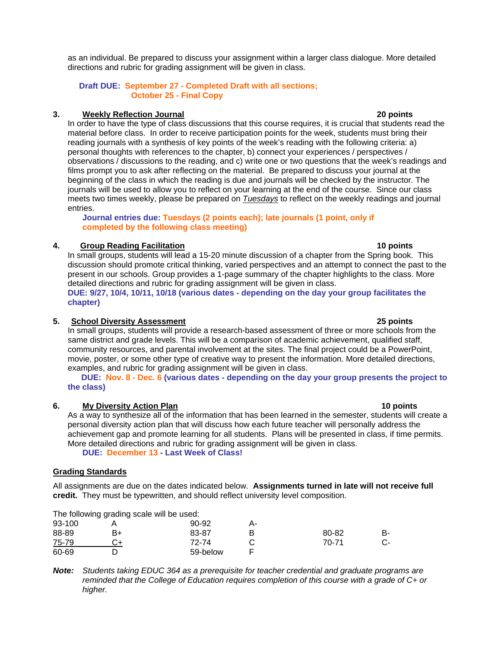as an individual. Be prepared to discuss your assignment within a larger class dialogue. More detailed directions and rubric for grading assignment will be given in class.

## **Draft DUE: September 27 - Completed Draft with all sections; October 25 - Final Copy**

# **3. Weekly Reflection Journal 20 points**

In order to have the type of class discussions that this course requires, it is crucial that students read the material before class. In order to receive participation points for the week, students must bring their reading journals with a synthesis of key points of the week's reading with the following criteria: a) personal thoughts with references to the chapter, b) connect your experiences / perspectives / observations / discussions to the reading, and c) write one or two questions that the week's readings and films prompt you to ask after reflecting on the material. Be prepared to discuss your journal at the beginning of the class in which the reading is due and journals will be checked by the instructor. The journals will be used to allow you to reflect on your learning at the end of the course. Since our class meets two times weekly, please be prepared on *Tuesdays* to reflect on the weekly readings and journal entries.

 **Journal entries due: Tuesdays (2 points each); late journals (1 point, only if completed by the following class meeting)** 

# **4. Group Reading Facilitation 10 points**

In small groups, students will lead a 15-20 minute discussion of a chapter from the Spring book. This discussion should promote critical thinking, varied perspectives and an attempt to connect the past to the present in our schools. Group provides a 1-page summary of the chapter highlights to the class. More detailed directions and rubric for grading assignment will be given in class. **DUE: 9/27, 10/4, 10/11, 10/18 (various dates - depending on the day your group facilitates the chapter)** 

# **5. School Diversity Assessment 25 points**

In small groups, students will provide a research-based assessment of three or more schools from the same district and grade levels. This will be a comparison of academic achievement, qualified staff, community resources, and parental involvement at the sites. The final project could be a PowerPoint, movie, poster, or some other type of creative way to present the information. More detailed directions, examples, and rubric for grading assignment will be given in class.

 **DUE: Nov. 8 - Dec. 6 (various dates - depending on the day your group presents the project to the class)** 

# **6. My Diversity Action Plan 10 points**

As a way to synthesize all of the information that has been learned in the semester, students will create a personal diversity action plan that will discuss how each future teacher will personally address the achievement gap and promote learning for all students. Plans will be presented in class, if time permits. More detailed directions and rubric for grading assignment will be given in class.

 **DUE: December 13 - Last Week of Class!**

# **Grading Standards**

All assignments are due on the dates indicated below. **Assignments turned in late will not receive full credit.** They must be typewritten, and should reflect university level composition.

|        | The following grading scale will be used: |          |    |       |    |
|--------|-------------------------------------------|----------|----|-------|----|
| 93-100 |                                           | $90-92$  | А- |       |    |
| 88-89  | B+                                        | 83-87    | в  | 80-82 | в- |
| 75-79  |                                           | 72-74    |    | 70-71 |    |
| 60-69  |                                           | 59-below |    |       |    |

*Note: Students taking EDUC 364 as a prerequisite for teacher credential and graduate programs are reminded that the College of Education requires completion of this course with a grade of C+ or higher.*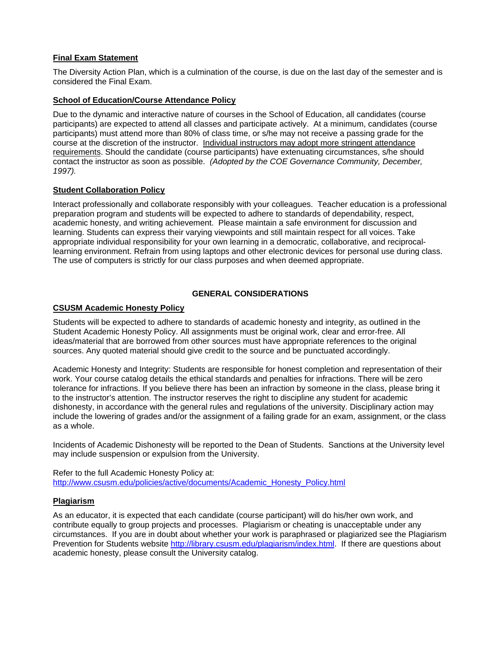## **Final Exam Statement**

The Diversity Action Plan, which is a culmination of the course, is due on the last day of the semester and is considered the Final Exam.

#### **School of Education/Course Attendance Policy**

Due to the dynamic and interactive nature of courses in the School of Education, all candidates (course participants) are expected to attend all classes and participate actively. At a minimum, candidates (course participants) must attend more than 80% of class time, or s/he may not receive a passing grade for the course at the discretion of the instructor. Individual instructors may adopt more stringent attendance requirements. Should the candidate (course participants) have extenuating circumstances, s/he should contact the instructor as soon as possible. *(Adopted by the COE Governance Community, December, 1997).*

#### **Student Collaboration Policy**

Interact professionally and collaborate responsibly with your colleagues. Teacher education is a professional preparation program and students will be expected to adhere to standards of dependability, respect, academic honesty, and writing achievement. Please maintain a safe environment for discussion and learning. Students can express their varying viewpoints and still maintain respect for all voices. Take appropriate individual responsibility for your own learning in a democratic, collaborative, and reciprocallearning environment. Refrain from using laptops and other electronic devices for personal use during class. The use of computers is strictly for our class purposes and when deemed appropriate.

## **GENERAL CONSIDERATIONS**

## **CSUSM Academic Honesty Policy**

Students will be expected to adhere to standards of academic honesty and integrity, as outlined in the Student Academic Honesty Policy. All assignments must be original work, clear and error-free. All ideas/material that are borrowed from other sources must have appropriate references to the original sources. Any quoted material should give credit to the source and be punctuated accordingly.

Academic Honesty and Integrity: Students are responsible for honest completion and representation of their work. Your course catalog details the ethical standards and penalties for infractions. There will be zero tolerance for infractions. If you believe there has been an infraction by someone in the class, please bring it to the instructor's attention. The instructor reserves the right to discipline any student for academic dishonesty, in accordance with the general rules and regulations of the university. Disciplinary action may include the lowering of grades and/or the assignment of a failing grade for an exam, assignment, or the class as a whole.

Incidents of Academic Dishonesty will be reported to the Dean of Students. Sanctions at the University level may include suspension or expulsion from the University.

Refer to the full Academic Honesty Policy at: http://www.csusm.edu/policies/active/documents/Academic\_Honesty\_Policy.html

#### **Plagiarism**

As an educator, it is expected that each candidate (course participant) will do his/her own work, and contribute equally to group projects and processes. Plagiarism or cheating is unacceptable under any circumstances. If you are in doubt about whether your work is paraphrased or plagiarized see the Plagiarism Prevention for Students website http://library.csusm.edu/plagiarism/index.html. If there are questions about academic honesty, please consult the University catalog.